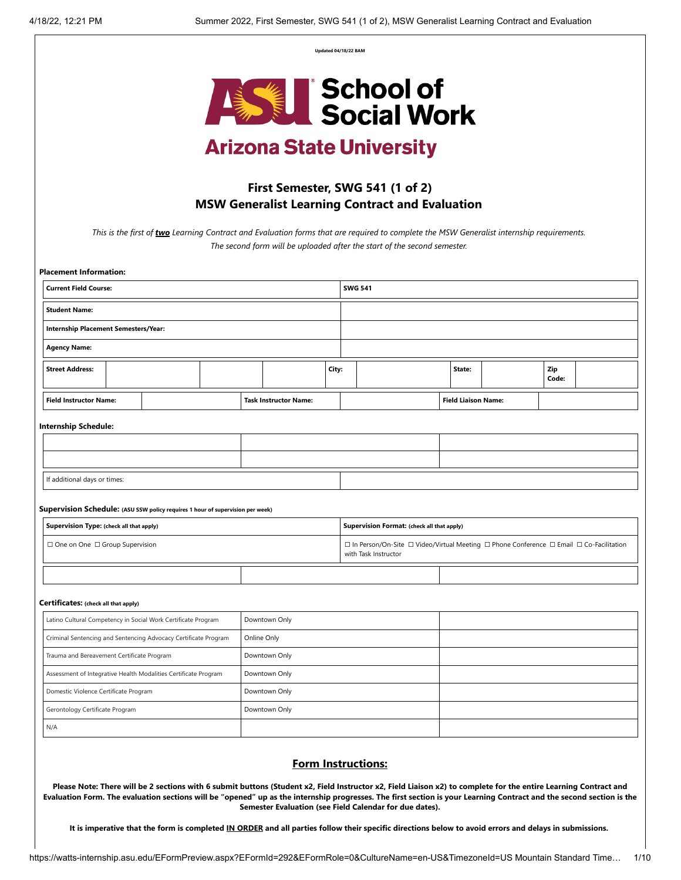**Updated 04/18/22 BAM**



# **Arizona State University**

# **First Semester, SWG 541 (1 of 2) MSW Generalist Learning Contract and Evaluation**

*This is the first of two Learning Contract and Evaluation forms that are required to complete the MSW Generalist internship requirements. The second form will be uploaded after the start of the second semester.* 

| <b>Current Field Course:</b><br><b>SWG 541</b><br><b>Student Name:</b><br>Internship Placement Semesters/Year:<br><b>Agency Name:</b><br>Zip<br><b>Street Address:</b><br>City:<br>State:<br>Code:<br><b>Field Instructor Name:</b><br><b>Field Liaison Name:</b><br><b>Task Instructor Name:</b><br><b>Internship Schedule:</b><br>If additional days or times:<br>Supervision Schedule: (ASU SSW policy requires 1 hour of supervision per week)<br>Supervision Type: (check all that apply)<br>Supervision Format: (check all that apply)<br>□ One on One □ Group Supervision<br>with Task Instructor<br>Certificates: (check all that apply)<br>Latino Cultural Competency in Social Work Certificate Program<br>Downtown Only<br>Criminal Sentencing and Sentencing Advocacy Certificate Program<br>Online Only<br>Trauma and Bereavement Certificate Program<br>Downtown Only<br>Downtown Only<br>Assessment of Integrative Health Modalities Certificate Program | <b>Placement Information:</b> |  |  |  |                                                                                          |  |  |  |  |  |  |  |  |
|-------------------------------------------------------------------------------------------------------------------------------------------------------------------------------------------------------------------------------------------------------------------------------------------------------------------------------------------------------------------------------------------------------------------------------------------------------------------------------------------------------------------------------------------------------------------------------------------------------------------------------------------------------------------------------------------------------------------------------------------------------------------------------------------------------------------------------------------------------------------------------------------------------------------------------------------------------------------------|-------------------------------|--|--|--|------------------------------------------------------------------------------------------|--|--|--|--|--|--|--|--|
|                                                                                                                                                                                                                                                                                                                                                                                                                                                                                                                                                                                                                                                                                                                                                                                                                                                                                                                                                                         |                               |  |  |  |                                                                                          |  |  |  |  |  |  |  |  |
|                                                                                                                                                                                                                                                                                                                                                                                                                                                                                                                                                                                                                                                                                                                                                                                                                                                                                                                                                                         |                               |  |  |  |                                                                                          |  |  |  |  |  |  |  |  |
|                                                                                                                                                                                                                                                                                                                                                                                                                                                                                                                                                                                                                                                                                                                                                                                                                                                                                                                                                                         |                               |  |  |  |                                                                                          |  |  |  |  |  |  |  |  |
|                                                                                                                                                                                                                                                                                                                                                                                                                                                                                                                                                                                                                                                                                                                                                                                                                                                                                                                                                                         |                               |  |  |  |                                                                                          |  |  |  |  |  |  |  |  |
|                                                                                                                                                                                                                                                                                                                                                                                                                                                                                                                                                                                                                                                                                                                                                                                                                                                                                                                                                                         |                               |  |  |  |                                                                                          |  |  |  |  |  |  |  |  |
|                                                                                                                                                                                                                                                                                                                                                                                                                                                                                                                                                                                                                                                                                                                                                                                                                                                                                                                                                                         |                               |  |  |  |                                                                                          |  |  |  |  |  |  |  |  |
|                                                                                                                                                                                                                                                                                                                                                                                                                                                                                                                                                                                                                                                                                                                                                                                                                                                                                                                                                                         |                               |  |  |  |                                                                                          |  |  |  |  |  |  |  |  |
|                                                                                                                                                                                                                                                                                                                                                                                                                                                                                                                                                                                                                                                                                                                                                                                                                                                                                                                                                                         |                               |  |  |  |                                                                                          |  |  |  |  |  |  |  |  |
|                                                                                                                                                                                                                                                                                                                                                                                                                                                                                                                                                                                                                                                                                                                                                                                                                                                                                                                                                                         |                               |  |  |  |                                                                                          |  |  |  |  |  |  |  |  |
|                                                                                                                                                                                                                                                                                                                                                                                                                                                                                                                                                                                                                                                                                                                                                                                                                                                                                                                                                                         |                               |  |  |  |                                                                                          |  |  |  |  |  |  |  |  |
|                                                                                                                                                                                                                                                                                                                                                                                                                                                                                                                                                                                                                                                                                                                                                                                                                                                                                                                                                                         |                               |  |  |  |                                                                                          |  |  |  |  |  |  |  |  |
|                                                                                                                                                                                                                                                                                                                                                                                                                                                                                                                                                                                                                                                                                                                                                                                                                                                                                                                                                                         |                               |  |  |  |                                                                                          |  |  |  |  |  |  |  |  |
|                                                                                                                                                                                                                                                                                                                                                                                                                                                                                                                                                                                                                                                                                                                                                                                                                                                                                                                                                                         |                               |  |  |  |                                                                                          |  |  |  |  |  |  |  |  |
|                                                                                                                                                                                                                                                                                                                                                                                                                                                                                                                                                                                                                                                                                                                                                                                                                                                                                                                                                                         |                               |  |  |  | □ In Person/On-Site □ Video/Virtual Meeting □ Phone Conference □ Email □ Co-Facilitation |  |  |  |  |  |  |  |  |
|                                                                                                                                                                                                                                                                                                                                                                                                                                                                                                                                                                                                                                                                                                                                                                                                                                                                                                                                                                         |                               |  |  |  |                                                                                          |  |  |  |  |  |  |  |  |
|                                                                                                                                                                                                                                                                                                                                                                                                                                                                                                                                                                                                                                                                                                                                                                                                                                                                                                                                                                         |                               |  |  |  |                                                                                          |  |  |  |  |  |  |  |  |
|                                                                                                                                                                                                                                                                                                                                                                                                                                                                                                                                                                                                                                                                                                                                                                                                                                                                                                                                                                         |                               |  |  |  |                                                                                          |  |  |  |  |  |  |  |  |
|                                                                                                                                                                                                                                                                                                                                                                                                                                                                                                                                                                                                                                                                                                                                                                                                                                                                                                                                                                         |                               |  |  |  |                                                                                          |  |  |  |  |  |  |  |  |
|                                                                                                                                                                                                                                                                                                                                                                                                                                                                                                                                                                                                                                                                                                                                                                                                                                                                                                                                                                         |                               |  |  |  |                                                                                          |  |  |  |  |  |  |  |  |
|                                                                                                                                                                                                                                                                                                                                                                                                                                                                                                                                                                                                                                                                                                                                                                                                                                                                                                                                                                         |                               |  |  |  |                                                                                          |  |  |  |  |  |  |  |  |
| Downtown Only<br>Domestic Violence Certificate Program                                                                                                                                                                                                                                                                                                                                                                                                                                                                                                                                                                                                                                                                                                                                                                                                                                                                                                                  |                               |  |  |  |                                                                                          |  |  |  |  |  |  |  |  |
| Downtown Only<br>Gerontology Certificate Program                                                                                                                                                                                                                                                                                                                                                                                                                                                                                                                                                                                                                                                                                                                                                                                                                                                                                                                        |                               |  |  |  |                                                                                          |  |  |  |  |  |  |  |  |
| N/A                                                                                                                                                                                                                                                                                                                                                                                                                                                                                                                                                                                                                                                                                                                                                                                                                                                                                                                                                                     |                               |  |  |  |                                                                                          |  |  |  |  |  |  |  |  |

# **Form Instructions:**

Please Note: There will be 2 sections with 6 submit buttons (Student x2, Field Instructor x2, Field Liaison x2) to complete for the entire Learning Contract and Evaluation Form. The evaluation sections will be "opened" up as the internship progresses. The first section is your Learning Contract and the second section is the **Semester Evaluation (see Field Calendar for due dates).**

It is imperative that the form is completed IN ORDER and all parties follow their specific directions below to avoid errors and delays in submissions.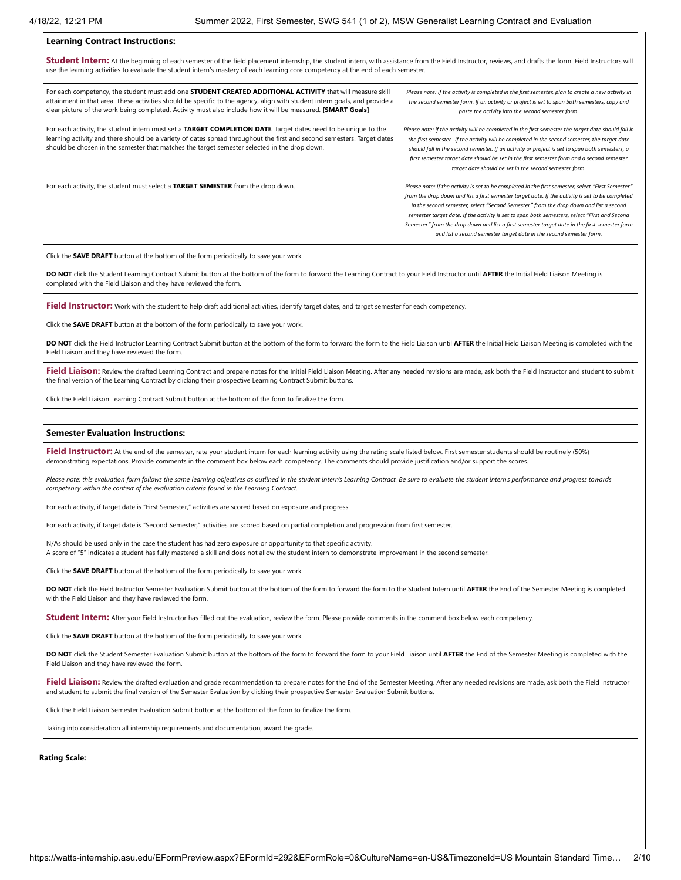#### **Learning Contract Instructions:**

**Student Intern:** At the beginning of each semester of the field placement internship, the student intern, with assistance from the Field Instructor, reviews, and drafts the form. Field Instructors will use the learning activities to evaluate the student intern's mastery of each learning core competency at the end of each semester.

| For each competency, the student must add one STUDENT CREATED ADDITIONAL ACTIVITY that will measure skill<br>attainment in that area. These activities should be specific to the agency, align with student intern goals, and provide a<br>clear picture of the work being completed. Activity must also include how it will be measured. [SMART Goals] | Please note: if the activity is completed in the first semester, plan to create a new activity in<br>the second semester form. If an activity or project is set to span both semesters, copy and<br>paste the activity into the second semester form.                                                                                                                                                                                                                                                                                                                    |
|---------------------------------------------------------------------------------------------------------------------------------------------------------------------------------------------------------------------------------------------------------------------------------------------------------------------------------------------------------|--------------------------------------------------------------------------------------------------------------------------------------------------------------------------------------------------------------------------------------------------------------------------------------------------------------------------------------------------------------------------------------------------------------------------------------------------------------------------------------------------------------------------------------------------------------------------|
| For each activity, the student intern must set a TARGET COMPLETION DATE. Target dates need to be unique to the<br>learning activity and there should be a variety of dates spread throughout the first and second semesters. Target dates<br>should be chosen in the semester that matches the target semester selected in the drop down.               | Please note: if the activity will be completed in the first semester the target date should fall in<br>the first semester. If the activity will be completed in the second semester, the target date<br>should fall in the second semester. If an activity or project is set to span both semesters, a<br>first semester target date should be set in the first semester form and a second semester<br>target date should be set in the second semester form.                                                                                                            |
| For each activity, the student must select a TARGET SEMESTER from the drop down.                                                                                                                                                                                                                                                                        | Please note: If the activity is set to be completed in the first semester, select "First Semester"<br>from the drop down and list a first semester target date. If the activity is set to be completed<br>in the second semester, select "Second Semester" from the drop down and list a second<br>semester target date. If the activity is set to span both semesters, select "First and Second<br>Semester" from the drop down and list a first semester target date in the first semester form<br>and list a second semester target date in the second semester form. |

Click the **SAVE DRAFT** button at the bottom of the form periodically to save your work.

**DO NOT** click the Student Learning Contract Submit button at the bottom of the form to forward the Learning Contract to your Field Instructor until **AFTER** the Initial Field Liaison Meeting is completed with the Field Liaison and they have reviewed the form.

**Field Instructor:** Work with the student to help draft additional activities, identify target dates, and target semester for each competency.

Click the **SAVE DRAFT** button at the bottom of the form periodically to save your work.

**DO NOT** click the Field Instructor Learning Contract Submit button at the bottom of the form to forward the form to the Field Liaison until **AFTER** the Initial Field Liaison Meeting is completed with the Field Liaison and they have reviewed the form.

Field Liaison: Review the drafted Learning Contract and prepare notes for the Initial Field Liaison Meeting. After any needed revisions are made, ask both the Field Instructor and student to submit the final version of the Learning Contract by clicking their prospective Learning Contract Submit buttons.

Click the Field Liaison Learning Contract Submit button at the bottom of the form to finalize the form.

#### **Semester Evaluation Instructions:**

Field Instructor: At the end of the semester, rate your student intern for each learning activity using the rating scale listed below. First semester students should be routinely (50%) demonstrating expectations. Provide comments in the comment box below each competency. The comments should provide justification and/or support the scores.

Please note: this evaluation form follows the same learning objectives as outlined in the student intern's Learning Contract. Be sure to evaluate the student intern's performance and progress towards *competency within the context of the evaluation criteria found in the Learning Contract.*

For each activity, if target date is "First Semester," activities are scored based on exposure and progress.

For each activity, if target date is "Second Semester," activities are scored based on partial completion and progression from first semester.

N/As should be used only in the case the student has had zero exposure or opportunity to that specific activity. A score of "5" indicates a student has fully mastered a skill and does not allow the student intern to demonstrate improvement in the second semester.

Click the **SAVE DRAFT** button at the bottom of the form periodically to save your work.

**DO NOT** click the Field Instructor Semester Evaluation Submit button at the bottom of the form to forward the form to the Student Intern until **AFTER** the End of the Semester Meeting is completed with the Field Liaison and they have reviewed the form.

**Student Intern:** After your Field Instructor has filled out the evaluation, review the form. Please provide comments in the comment box below each competency.

Click the **SAVE DRAFT** button at the bottom of the form periodically to save your work.

**DO NOT** click the Student Semester Evaluation Submit button at the bottom of the form to forward the form to your Field Liaison until **AFTER** the End of the Semester Meeting is completed with the Field Liaison and they have reviewed the form.

Field Liaison: Review the drafted evaluation and grade recommendation to prepare notes for the End of the Semester Meeting. After any needed revisions are made, ask both the Field Instructor and student to submit the final version of the Semester Evaluation by clicking their prospective Semester Evaluation Submit buttons.

Click the Field Liaison Semester Evaluation Submit button at the bottom of the form to finalize the form.

Taking into consideration all internship requirements and documentation, award the grade.

**Rating Scale:**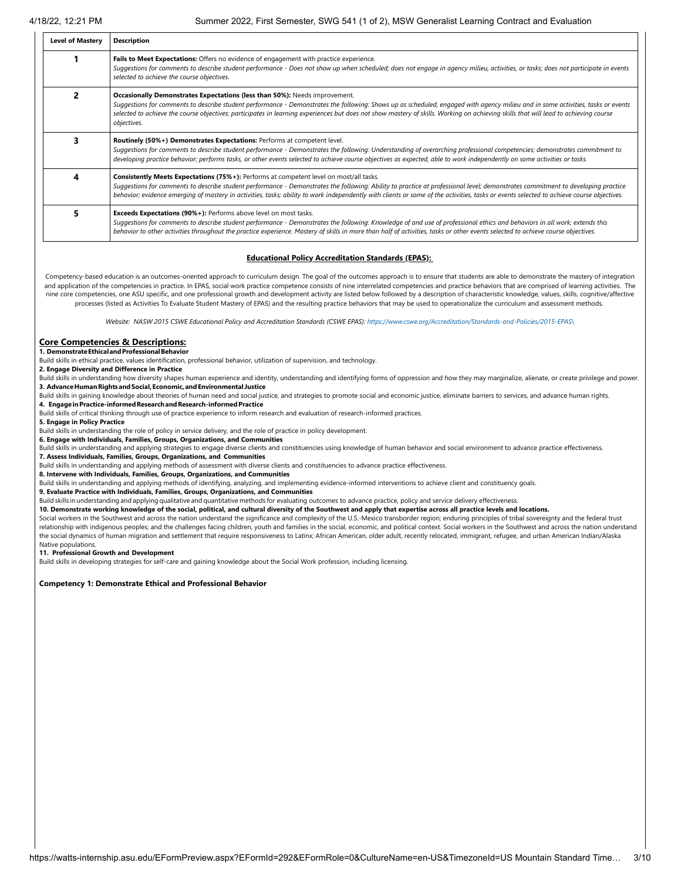| <b>Level of Mastery</b> | <b>Description</b>                                                                                                                                                                                                                                                                                                                                                                                                                                                             |
|-------------------------|--------------------------------------------------------------------------------------------------------------------------------------------------------------------------------------------------------------------------------------------------------------------------------------------------------------------------------------------------------------------------------------------------------------------------------------------------------------------------------|
|                         | Fails to Meet Expectations: Offers no evidence of engagement with practice experience.<br>Suggestions for comments to describe student performance - Does not show up when scheduled; does not engage in agency milieu, activities, or tasks; does not participate in events<br>selected to achieve the course objectives.                                                                                                                                                     |
|                         | Occasionally Demonstrates Expectations (less than 50%): Needs improvement.<br>Suggestions for comments to describe student performance - Demonstrates the following: Shows up as scheduled, engaged with agency milieu and in some activities, tasks or events<br>selected to achieve the course objectives; participates in learning experiences but does not show mastery of skills. Working on achieving skills that will lead to achieving course<br>objectives.           |
|                         | Routinely (50%+) Demonstrates Expectations: Performs at competent level.<br>Suggestions for comments to describe student performance - Demonstrates the following: Understanding of overarching professional competencies; demonstrates commitment to<br>developing practice behavior; performs tasks, or other events selected to achieve course objectives as expected, able to work independently on some activities or tasks.                                              |
| 4                       | <b>Consistently Meets Expectations (75%+):</b> Performs at competent level on most/all tasks.<br>Suggestions for comments to describe student performance - Demonstrates the following: Ability to practice at professional level; demonstrates commitment to developing practice<br>behavior; evidence emerging of mastery in activities, tasks; ability to work independently with clients or some of the activities, tasks or events selected to achieve course objectives. |
| 5                       | Exceeds Expectations (90%+): Performs above level on most tasks.<br>Suggestions for comments to describe student performance - Demonstrates the following: Knowledge of and use of professional ethics and behaviors in all work; extends this<br>behavior to other activities throughout the practice experience. Mastery of skills in more than half of activities, tasks or other events selected to achieve course objectives.                                             |

#### **Educational Policy Accreditation Standards (EPAS):**

Competency-based education is an outcomes-oriented approach to curriculum design. The goal of the outcomes approach is to ensure that students are able to demonstrate the mastery of integration and application of the competencies in practice. In EPAS, social work practice competence consists of nine interrelated competencies and practice behaviors that are comprised of learning activities. The nine core competencies, one ASU specific, and one professional growth and development activity are listed below followed by a description of characteristic knowledge, values, skills, cognitive/affective processes (listed as Activities To Evaluate Student Mastery of EPAS) and the resulting practice behaviors that may be used to operationalize the curriculum and assessment methods*.*

*Website: NASW 2015 CSWE Educational Policy and Accreditation Standards (CSWE EPAS): [https://www.cswe.org/Accreditation/Standards-and-Policies/2015-EPAS\](https://www.cswe.org/Accreditation/Standards-and-Policies/2015-EPAS/)*

# **Core Competencies & Descriptions:**

**1. DemonstrateEthicalandProfessionalBehavior**

Build skills in ethical practice, values identification, professional behavior, utilization of supervision, and technology.

#### **2. Engage Diversity and Difference in Practice**

Build skills in understanding how diversity shapes human experience and identity, understanding and identifying forms of oppression and how they may marginalize, alienate, or create privilege and power. **3. AdvanceHumanRightsandSocial,Economic,andEnvironmental Justice**

Build skills in gaining knowledge about theories of human need and social justice, and strategies to promote social and economic justice, eliminate barriers to services, and advance human rights.

**4. EngageinPractice-informedResearchandResearch-informedPractice**

Build skills of critical thinking through use of practice experience to inform research and evaluation of research-informed practices.

**5. Engage in Policy Practice**

Build skills in understanding the role of policy in service delivery, and the role of practice in policy development.

**6. Engage with Individuals, Families, Groups, Organizations, and Communities**

Build skills in understanding and applying strategies to engage diverse clients and constituencies using knowledge of human behavior and social environment to advance practice effectiveness. **7. Assess Individuals, Families, Groups, Organizations, and Communities**

Build skills in understanding and applying methods of assessment with diverse clients and constituencies to advance practice effectiveness.

**8. Intervene with Individuals, Families, Groups, Organizations, and Communities**

Build skills in understanding and applying methods of identifying, analyzing, and implementing evidence-informed interventions to achieve client and constituency goals.

**9. Evaluate Practice with Individuals, Families, Groups, Organizations, and Communities**

Build skills in understanding and applying qualitative and quantitative methods for evaluating outcomes to advance practice, policy and service delivery effectiveness.

**10. Demonstrate working knowledge of the social, political, and cultural diversity of the Southwest and apply that expertise across all practice levels and locations.**

Social workers in the Southwest and across the nation understand the significance and complexity of the U.S.-Mexico transborder region; enduring principles of tribal sovereignty and the federal trust relationship with indigenous peoples; and the challenges facing children, youth and families in the social, economic, and political context. Social workers in the Southwest and across the nation understand the social dynamics of human migration and settlement that require responsiveness to Latinx; African American, older adult, recently relocated, immigrant, refugee, and urban American Indian/Alaska Native populations.

### **11. Professional Growth and Development**

Build skills in developing strategies for self-care and gaining knowledge about the Social Work profession, including licensing.

#### **Competency 1: Demonstrate Ethical and Professional Behavior**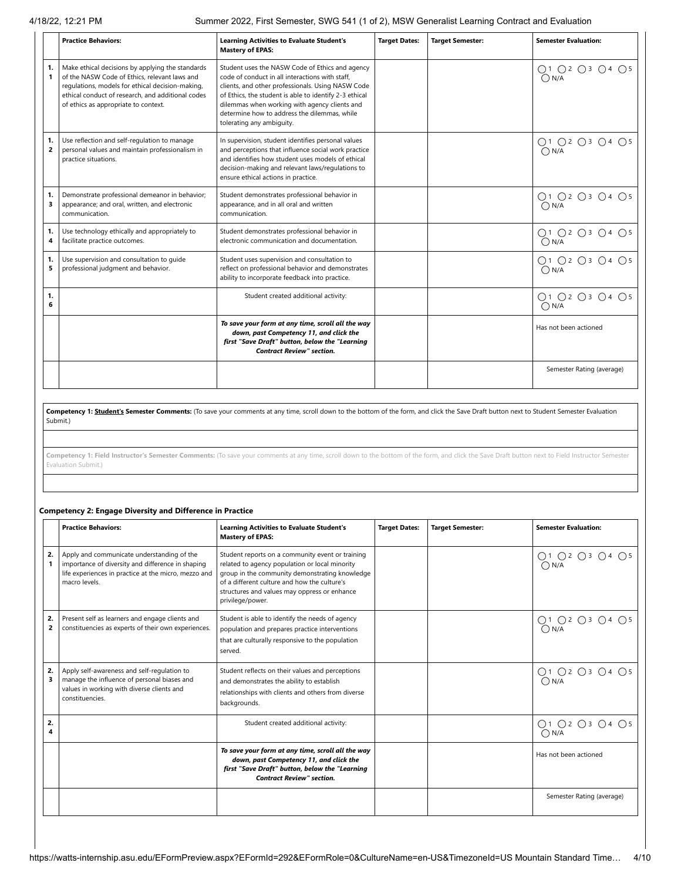4/18/22, 12:21 PM Summer 2022, First Semester, SWG 541 (1 of 2), MSW Generalist Learning Contract and Evaluation

|                      | <b>Practice Behaviors:</b>                                                                                                                                                                                                                         | <b>Learning Activities to Evaluate Student's</b><br><b>Mastery of EPAS:</b>                                                                                                                                                                                                                                                                     | <b>Target Dates:</b> | <b>Target Semester:</b> | <b>Semester Evaluation:</b>     |
|----------------------|----------------------------------------------------------------------------------------------------------------------------------------------------------------------------------------------------------------------------------------------------|-------------------------------------------------------------------------------------------------------------------------------------------------------------------------------------------------------------------------------------------------------------------------------------------------------------------------------------------------|----------------------|-------------------------|---------------------------------|
| 1.<br>$\mathbf{1}$   | Make ethical decisions by applying the standards<br>of the NASW Code of Ethics, relevant laws and<br>regulations, models for ethical decision-making,<br>ethical conduct of research, and additional codes<br>of ethics as appropriate to context. | Student uses the NASW Code of Ethics and agency<br>code of conduct in all interactions with staff.<br>clients, and other professionals. Using NASW Code<br>of Ethics, the student is able to identify 2-3 ethical<br>dilemmas when working with agency clients and<br>determine how to address the dilemmas, while<br>tolerating any ambiguity. |                      |                         | ○1 ○2 ○3 ○4 ○5<br>$\bigcap N/A$ |
| 1.<br>$\overline{2}$ | Use reflection and self-regulation to manage<br>personal values and maintain professionalism in<br>practice situations.                                                                                                                            | In supervision, student identifies personal values<br>and perceptions that influence social work practice<br>and identifies how student uses models of ethical<br>decision-making and relevant laws/regulations to<br>ensure ethical actions in practice.                                                                                       |                      |                         | ○1 ○2 ○3 ○4 ○5<br>O N/A         |
| 1.<br>3              | Demonstrate professional demeanor in behavior;<br>appearance; and oral, written, and electronic<br>communication.                                                                                                                                  | Student demonstrates professional behavior in<br>appearance, and in all oral and written<br>communication.                                                                                                                                                                                                                                      |                      |                         | ○1 ○2 ○3 ○4 ○5<br>$\bigcap N/A$ |
| 1.<br>4              | Use technology ethically and appropriately to<br>facilitate practice outcomes.                                                                                                                                                                     | Student demonstrates professional behavior in<br>electronic communication and documentation.                                                                                                                                                                                                                                                    |                      |                         | ○1 ○2 ○3 ○4 ○5<br>$\bigcap N/A$ |
| 1.<br>5              | Use supervision and consultation to quide<br>professional judgment and behavior.                                                                                                                                                                   | Student uses supervision and consultation to<br>reflect on professional behavior and demonstrates<br>ability to incorporate feedback into practice.                                                                                                                                                                                             |                      |                         | ○1 ○2 ○3 ○4 ○5<br>$\bigcap N/A$ |
| 1.<br>6              |                                                                                                                                                                                                                                                    | Student created additional activity:                                                                                                                                                                                                                                                                                                            |                      |                         | ○1 ○2 ○3 ○4 ○5<br>$\bigcap N/A$ |
|                      |                                                                                                                                                                                                                                                    | To save your form at any time, scroll all the way<br>down, past Competency 11, and click the<br>first "Save Draft" button, below the "Learning<br><b>Contract Review" section.</b>                                                                                                                                                              |                      |                         | Has not been actioned           |
|                      |                                                                                                                                                                                                                                                    |                                                                                                                                                                                                                                                                                                                                                 |                      |                         | Semester Rating (average)       |

Competency 1: **Student's Semester Comments:** (To save your comments at any time, scroll down to the bottom of the form, and click the Save Draft button next to Student Semester Evaluation Submit.)

**Competency 1: Field Instructor's Semester Comments:** (To save your comments at any time, scroll down to the bottom of the form, and click the Save Draft button next to Field Instructor Semester Evaluation Submit.)

# **Competency 2: Engage Diversity and Difference in Practice**

|                      | <b>Practice Behaviors:</b>                                                                                                                                               | <b>Learning Activities to Evaluate Student's</b><br><b>Mastery of EPAS:</b>                                                                                                                                                                                              | <b>Target Dates:</b> | <b>Target Semester:</b> | <b>Semester Evaluation:</b>          |
|----------------------|--------------------------------------------------------------------------------------------------------------------------------------------------------------------------|--------------------------------------------------------------------------------------------------------------------------------------------------------------------------------------------------------------------------------------------------------------------------|----------------------|-------------------------|--------------------------------------|
| 2.                   | Apply and communicate understanding of the<br>importance of diversity and difference in shaping<br>life experiences in practice at the micro, mezzo and<br>macro levels. | Student reports on a community event or training<br>related to agency population or local minority<br>group in the community demonstrating knowledge<br>of a different culture and how the culture's<br>structures and values may oppress or enhance<br>privilege/power. |                      |                         | ○1 ○2 ○3 ○4 ○5<br>$\overline{O}$ N/A |
| 2.<br>$\overline{2}$ | Present self as learners and engage clients and<br>constituencies as experts of their own experiences.                                                                   | Student is able to identify the needs of agency<br>population and prepares practice interventions<br>that are culturally responsive to the population<br>served.                                                                                                         |                      |                         | ○1 ○2 ○3 ○4 ○5<br>$\overline{O}$ N/A |
| 2.<br>3              | Apply self-awareness and self-regulation to<br>manage the influence of personal biases and<br>values in working with diverse clients and<br>constituencies.              | Student reflects on their values and perceptions<br>and demonstrates the ability to establish<br>relationships with clients and others from diverse<br>backgrounds.                                                                                                      |                      |                         | ○1 ○2 ○3 ○4 ○5<br>$\bigcap N/A$      |
| 2.<br>4              |                                                                                                                                                                          | Student created additional activity:                                                                                                                                                                                                                                     |                      |                         | ○1 ○2 ○3 ○4 ○5<br>$\bigcap N/A$      |
|                      |                                                                                                                                                                          | To save your form at any time, scroll all the way<br>down, past Competency 11, and click the<br>first "Save Draft" button, below the "Learning<br><b>Contract Review" section.</b>                                                                                       |                      |                         | Has not been actioned                |
|                      |                                                                                                                                                                          |                                                                                                                                                                                                                                                                          |                      |                         | Semester Rating (average)            |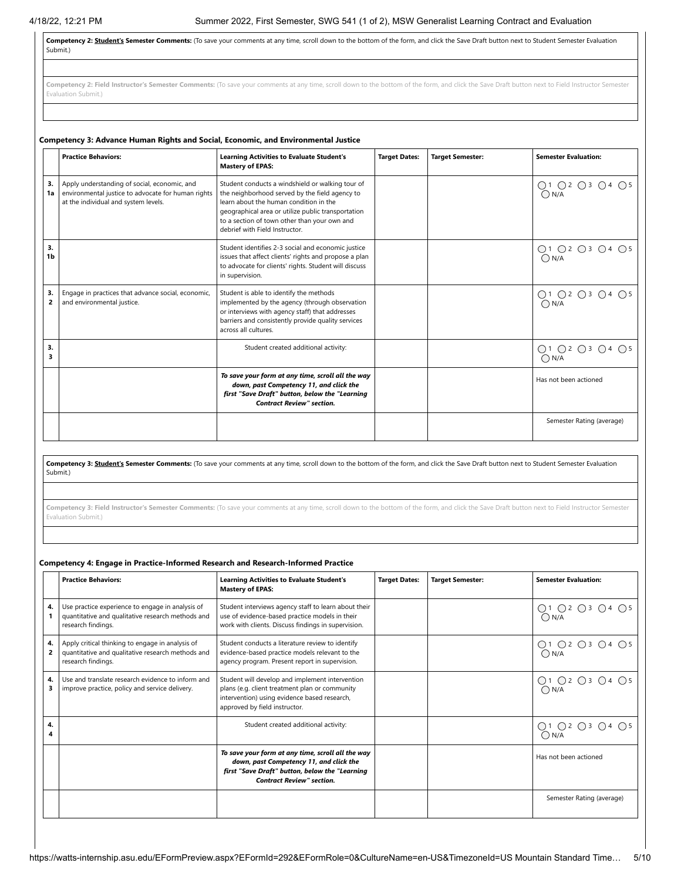Competency 2: **Student's Semester Comments:** (To save your comments at any time, scroll down to the bottom of the form, and click the Save Draft button next to Student Semester Evaluation Submit.)

Competency 2: Field Instructor's Semester Comments: (To save your comments at any time, scroll down to the bottom of the form, and click the Save Draft button next to Field Instructor Semester Evaluation Submit.)

|          | Competency 3: Advance Human Rights and Social, Economic, and Environmental Justice                                                         |                                                                                                                                                                                                                                                                                      |                      |                         |                                 |  |  |  |
|----------|--------------------------------------------------------------------------------------------------------------------------------------------|--------------------------------------------------------------------------------------------------------------------------------------------------------------------------------------------------------------------------------------------------------------------------------------|----------------------|-------------------------|---------------------------------|--|--|--|
|          | <b>Practice Behaviors:</b>                                                                                                                 | <b>Learning Activities to Evaluate Student's</b><br><b>Mastery of EPAS:</b>                                                                                                                                                                                                          | <b>Target Dates:</b> | <b>Target Semester:</b> | <b>Semester Evaluation:</b>     |  |  |  |
| 3.<br>1a | Apply understanding of social, economic, and<br>environmental justice to advocate for human rights<br>at the individual and system levels. | Student conducts a windshield or walking tour of<br>the neighborhood served by the field agency to<br>learn about the human condition in the<br>geographical area or utilize public transportation<br>to a section of town other than your own and<br>debrief with Field Instructor. |                      |                         | ○1 ○2 ○3 ○4 ○5<br>$\bigcap N/A$ |  |  |  |
| 3.<br>1b |                                                                                                                                            | Student identifies 2-3 social and economic justice<br>issues that affect clients' rights and propose a plan<br>to advocate for clients' rights. Student will discuss<br>in supervision.                                                                                              |                      |                         | ○1 ○2 ○3 ○4 ○5<br>$\bigcap N/A$ |  |  |  |
| 3.<br>2  | Engage in practices that advance social, economic,<br>and environmental justice.                                                           | Student is able to identify the methods<br>implemented by the agency (through observation<br>or interviews with agency staff) that addresses<br>barriers and consistently provide quality services<br>across all cultures.                                                           |                      |                         | ○1 ○2 ○3 ○4 ○5<br>$\bigcap N/A$ |  |  |  |
| 3.<br>3  |                                                                                                                                            | Student created additional activity:                                                                                                                                                                                                                                                 |                      |                         | ○1 ○2 ○3 ○4 ○5<br>$\bigcap N/A$ |  |  |  |
|          |                                                                                                                                            | To save your form at any time, scroll all the way<br>down, past Competency 11, and click the<br>first "Save Draft" button, below the "Learning<br><b>Contract Review" section.</b>                                                                                                   |                      |                         | Has not been actioned           |  |  |  |
|          |                                                                                                                                            |                                                                                                                                                                                                                                                                                      |                      |                         | Semester Rating (average)       |  |  |  |

Competency 3: **Student's Semester Comments:** (To save your comments at any time, scroll down to the bottom of the form, and click the Save Draft button next to Student Semester Evaluation Submit.)

Competency 3: Field Instructor's Semester Comments: (To save your comments at any time, scroll down to the bottom of the form, and click the Save Draft button next to Field Instructor Semester Evaluation Submit.)

# **Competency 4: Engage in Practice-Informed Research and Research-Informed Practice**

|         | <b>Practice Behaviors:</b>                                                                                                  | <b>Learning Activities to Evaluate Student's</b><br><b>Mastery of EPAS:</b>                                                                                                        | <b>Target Dates:</b> | <b>Target Semester:</b> | <b>Semester Evaluation:</b>     |
|---------|-----------------------------------------------------------------------------------------------------------------------------|------------------------------------------------------------------------------------------------------------------------------------------------------------------------------------|----------------------|-------------------------|---------------------------------|
| 4.      | Use practice experience to engage in analysis of<br>quantitative and qualitative research methods and<br>research findings. | Student interviews agency staff to learn about their<br>use of evidence-based practice models in their<br>work with clients. Discuss findings in supervision.                      |                      |                         | ○1 ○2 ○3 ○4 ○5<br>$\bigcap N/A$ |
| 4.<br>2 | Apply critical thinking to engage in analysis of<br>quantitative and qualitative research methods and<br>research findings. | Student conducts a literature review to identify<br>evidence-based practice models relevant to the<br>agency program. Present report in supervision.                               |                      |                         | ○1 ○2 ○3 ○4 ○5<br>$\bigcap N/A$ |
| 4.<br>з | Use and translate research evidence to inform and<br>improve practice, policy and service delivery.                         | Student will develop and implement intervention<br>plans (e.g. client treatment plan or community<br>intervention) using evidence based research,<br>approved by field instructor. |                      |                         | ○1 ○2 ○3 ○4 ○5<br>$\bigcap N/A$ |
| 4.      |                                                                                                                             | Student created additional activity:                                                                                                                                               |                      |                         | Q1 Q2 Q3 Q4 Q5<br>$\bigcap N/A$ |
|         |                                                                                                                             | To save your form at any time, scroll all the way<br>down, past Competency 11, and click the<br>first "Save Draft" button, below the "Learning<br><b>Contract Review" section.</b> |                      |                         | Has not been actioned           |
|         |                                                                                                                             |                                                                                                                                                                                    |                      |                         | Semester Rating (average)       |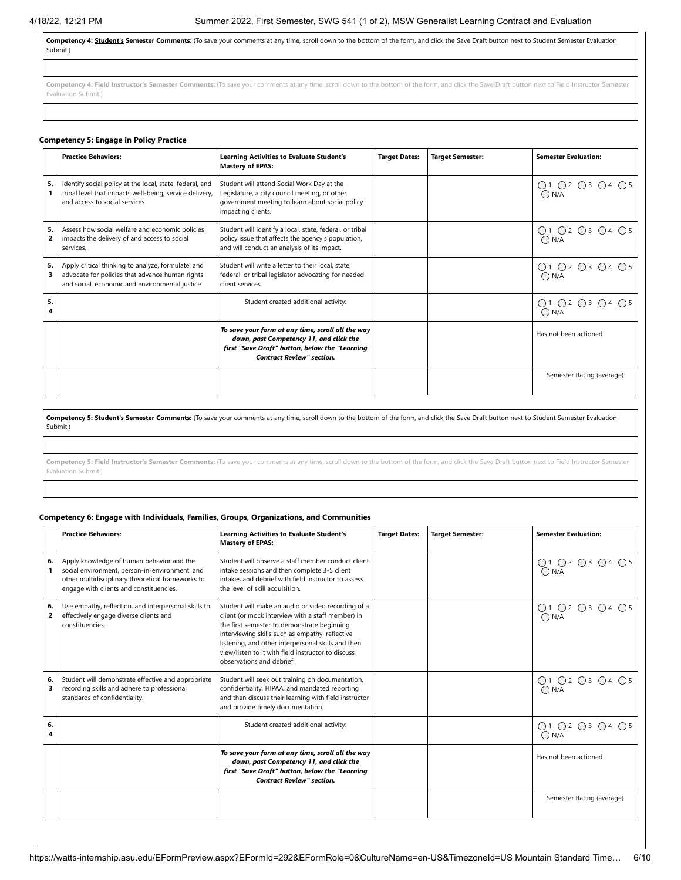**Competency 4: Student's Semester Comments:** (To save your comments at any time, scroll down to the bottom of the form, and click the Save Draft button next to Student Semester Evaluation Submit.)

Competency 4: Field Instructor's Semester Comments: (To save your comments at any time, scroll down to the bottom of the form, and click the Save Draft button next to Field Instructor Semester Evaluation Submit.)

# **Competency 5: Engage in Policy Practice**

|         | <b>Practice Behaviors:</b>                                                                                                                               | <b>Learning Activities to Evaluate Student's</b><br><b>Mastery of EPAS:</b>                                                                                                        | <b>Target Dates:</b> | <b>Target Semester:</b> | <b>Semester Evaluation:</b>     |
|---------|----------------------------------------------------------------------------------------------------------------------------------------------------------|------------------------------------------------------------------------------------------------------------------------------------------------------------------------------------|----------------------|-------------------------|---------------------------------|
| 5.      | Identify social policy at the local, state, federal, and<br>tribal level that impacts well-being, service delivery,<br>and access to social services.    | Student will attend Social Work Day at the<br>Legislature, a city council meeting, or other<br>government meeting to learn about social policy<br>impacting clients.               |                      |                         | Q1 Q2 Q3 Q4 Q5<br>$\bigcap N/A$ |
| 5.<br>2 | Assess how social welfare and economic policies<br>impacts the delivery of and access to social<br>services.                                             | Student will identify a local, state, federal, or tribal<br>policy issue that affects the agency's population,<br>and will conduct an analysis of its impact.                      |                      |                         | ○1 ○2 ○3 ○4 ○5<br>$\bigcap N/A$ |
| 5.<br>3 | Apply critical thinking to analyze, formulate, and<br>advocate for policies that advance human rights<br>and social, economic and environmental justice. | Student will write a letter to their local, state,<br>federal, or tribal legislator advocating for needed<br>client services.                                                      |                      |                         | ○1 ○2 ○3 ○4 ○5<br>$\bigcap N/A$ |
| 5.      |                                                                                                                                                          | Student created additional activity:                                                                                                                                               |                      |                         | ○1 ○2 ○3 ○4 ○5<br>$\bigcap N/A$ |
|         |                                                                                                                                                          | To save your form at any time, scroll all the way<br>down, past Competency 11, and click the<br>first "Save Draft" button, below the "Learning<br><b>Contract Review" section.</b> |                      |                         | Has not been actioned           |
|         |                                                                                                                                                          |                                                                                                                                                                                    |                      |                         | Semester Rating (average)       |

**Competency 5: Student's Semester Comments:** (To save your comments at any time, scroll down to the bottom of the form, and click the Save Draft button next to Student Semester Evaluation Submit.)

Competency 5: Field Instructor's Semester Comments: (To save your comments at any time, scroll down to the bottom of the form, and click the Save Draft button next to Field Instructor Semester Evaluation Submit.)

# **Competency 6: Engage with Individuals, Families, Groups, Organizations, and Communities**

|         | <b>Practice Behaviors:</b>                                                                                                                                                                  | <b>Learning Activities to Evaluate Student's</b><br><b>Mastery of EPAS:</b>                                                                                                                                                                                                                                                                        | <b>Target Dates:</b> | <b>Target Semester:</b> | <b>Semester Evaluation:</b>     |
|---------|---------------------------------------------------------------------------------------------------------------------------------------------------------------------------------------------|----------------------------------------------------------------------------------------------------------------------------------------------------------------------------------------------------------------------------------------------------------------------------------------------------------------------------------------------------|----------------------|-------------------------|---------------------------------|
| 6.      | Apply knowledge of human behavior and the<br>social environment, person-in-environment, and<br>other multidisciplinary theoretical frameworks to<br>engage with clients and constituencies. | Student will observe a staff member conduct client<br>intake sessions and then complete 3-5 client<br>intakes and debrief with field instructor to assess<br>the level of skill acquisition.                                                                                                                                                       |                      |                         | 01 02 03 04 05<br>0N/A          |
| 6.<br>2 | Use empathy, reflection, and interpersonal skills to<br>effectively engage diverse clients and<br>constituencies.                                                                           | Student will make an audio or video recording of a<br>client (or mock interview with a staff member) in<br>the first semester to demonstrate beginning<br>interviewing skills such as empathy, reflective<br>listening, and other interpersonal skills and then<br>view/listen to it with field instructor to discuss<br>observations and debrief. |                      |                         | ○1 ○2 ○3 ○4 ○5<br>$\bigcap N/A$ |
| 6.<br>3 | Student will demonstrate effective and appropriate<br>recording skills and adhere to professional<br>standards of confidentiality.                                                          | Student will seek out training on documentation,<br>confidentiality, HIPAA, and mandated reporting<br>and then discuss their learning with field instructor<br>and provide timely documentation.                                                                                                                                                   |                      |                         | ○1 ○2 ○3 ○4 ○5<br>$\bigcap N/A$ |
| 6.<br>4 |                                                                                                                                                                                             | Student created additional activity:                                                                                                                                                                                                                                                                                                               |                      |                         | ○1 ○2 ○3 ○4 ○5<br>$\bigcap N/A$ |
|         |                                                                                                                                                                                             | To save your form at any time, scroll all the way<br>down, past Competency 11, and click the<br>first "Save Draft" button, below the "Learning<br><b>Contract Review" section.</b>                                                                                                                                                                 |                      |                         | Has not been actioned           |
|         |                                                                                                                                                                                             |                                                                                                                                                                                                                                                                                                                                                    |                      |                         | Semester Rating (average)       |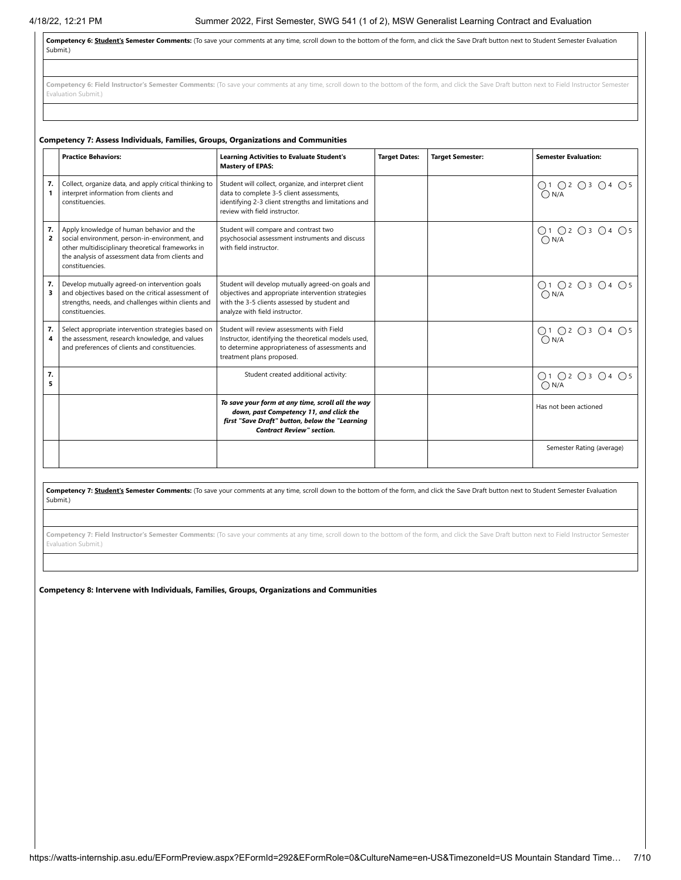**Competency 6: Student's Semester Comments:** (To save your comments at any time, scroll down to the bottom of the form, and click the Save Draft button next to Student Semester Evaluation Submit.)

Competency 6: Field Instructor's Semester Comments: (To save your comments at any time, scroll down to the bottom of the form, and click the Save Draft button next to Field Instructor Semester Evaluation Submit.)

|                      | Competency 7: Assess Individuals, Families, Groups, Organizations and Communities                                                                                                                                       |                                                                                                                                                                                           |                      |                         |                                                                                          |  |  |  |
|----------------------|-------------------------------------------------------------------------------------------------------------------------------------------------------------------------------------------------------------------------|-------------------------------------------------------------------------------------------------------------------------------------------------------------------------------------------|----------------------|-------------------------|------------------------------------------------------------------------------------------|--|--|--|
|                      | <b>Practice Behaviors:</b>                                                                                                                                                                                              | <b>Learning Activities to Evaluate Student's</b><br><b>Mastery of EPAS:</b>                                                                                                               | <b>Target Dates:</b> | <b>Target Semester:</b> | <b>Semester Evaluation:</b>                                                              |  |  |  |
| 7.<br>$\mathbf{1}$   | Collect, organize data, and apply critical thinking to<br>interpret information from clients and<br>constituencies.                                                                                                     | Student will collect, organize, and interpret client<br>data to complete 3-5 client assessments,<br>identifying 2-3 client strengths and limitations and<br>review with field instructor. |                      |                         | ○1 ○2 ○3 ○4 ○5<br>ON/A                                                                   |  |  |  |
| 7.<br>$\overline{2}$ | Apply knowledge of human behavior and the<br>social environment, person-in-environment, and<br>other multidisciplinary theoretical frameworks in<br>the analysis of assessment data from clients and<br>constituencies. | Student will compare and contrast two<br>psychosocial assessment instruments and discuss<br>with field instructor.                                                                        |                      |                         | $\bigcirc \limits_{\bigcirc \mathsf{N/A}} 1 \bigcirc 2 \bigcirc 3 \bigcirc 4 \bigcirc 5$ |  |  |  |
| 7.<br>3              | Develop mutually agreed-on intervention goals<br>and objectives based on the critical assessment of<br>strengths, needs, and challenges within clients and<br>constituencies.                                           | Student will develop mutually agreed-on goals and<br>objectives and appropriate intervention strategies<br>with the 3-5 clients assessed by student and<br>analyze with field instructor. |                      |                         | ○1 ○2 ○3 ○4 ○5<br>$\bigcap N/A$                                                          |  |  |  |
| 7.<br>4              | Select appropriate intervention strategies based on<br>the assessment, research knowledge, and values<br>and preferences of clients and constituencies.                                                                 | Student will review assessments with Field<br>Instructor, identifying the theoretical models used,<br>to determine appropriateness of assessments and<br>treatment plans proposed.        |                      |                         | ○1 ○2 ○3 ○4 ○5<br>$\bigcap N/A$                                                          |  |  |  |
| 7.<br>5              |                                                                                                                                                                                                                         | Student created additional activity:                                                                                                                                                      |                      |                         | ○1 ○2 ○3 ○4 ○5<br>$\bigcap N/A$                                                          |  |  |  |
|                      |                                                                                                                                                                                                                         | To save your form at any time, scroll all the way<br>down, past Competency 11, and click the<br>first "Save Draft" button, below the "Learning<br><b>Contract Review" section.</b>        |                      |                         | Has not been actioned                                                                    |  |  |  |
|                      |                                                                                                                                                                                                                         |                                                                                                                                                                                           |                      |                         | Semester Rating (average)                                                                |  |  |  |

**Competency 7: Student's Semester Comments:** (To save your comments at any time, scroll down to the bottom of the form, and click the Save Draft button next to Student Semester Evaluation Submit.)

**Competency 7: Field Instructor's Semester Comments:** (To save your comments at any time, scroll down to the bottom of the form, and click the Save Draft button next to Field Instructor Semester Evaluation Submit.)

**Competency 8: Intervene with Individuals, Families, Groups, Organizations and Communities**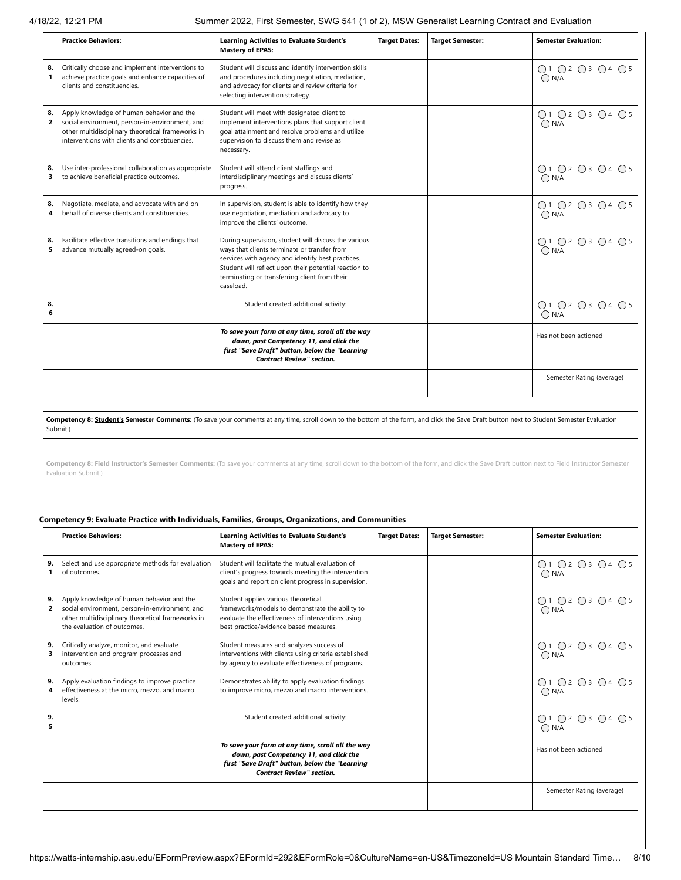4/18/22, 12:21 PM Summer 2022, First Semester, SWG 541 (1 of 2), MSW Generalist Learning Contract and Evaluation

|                      | <b>Practice Behaviors:</b>                                                                                                                                                                         | <b>Learning Activities to Evaluate Student's</b><br><b>Mastery of EPAS:</b>                                                                                                                                                                                                      | <b>Target Dates:</b> | <b>Target Semester:</b> | <b>Semester Evaluation:</b>      |
|----------------------|----------------------------------------------------------------------------------------------------------------------------------------------------------------------------------------------------|----------------------------------------------------------------------------------------------------------------------------------------------------------------------------------------------------------------------------------------------------------------------------------|----------------------|-------------------------|----------------------------------|
| 8.<br>$\mathbf{1}$   | Critically choose and implement interventions to<br>achieve practice goals and enhance capacities of<br>clients and constituencies.                                                                | Student will discuss and identify intervention skills<br>and procedures including negotiation, mediation,<br>and advocacy for clients and review criteria for<br>selecting intervention strategy.                                                                                |                      |                         | O1 O2 O3 O4 O5<br>$\bigcirc$ N/A |
| 8.<br>$\overline{2}$ | Apply knowledge of human behavior and the<br>social environment, person-in-environment, and<br>other multidisciplinary theoretical frameworks in<br>interventions with clients and constituencies. | Student will meet with designated client to<br>implement interventions plans that support client<br>goal attainment and resolve problems and utilize<br>supervision to discuss them and revise as<br>necessary.                                                                  |                      |                         | ○1 ○2 ○3 ○4 ○5<br>$\bigcap N/A$  |
| 8.<br>3              | Use inter-professional collaboration as appropriate<br>to achieve beneficial practice outcomes.                                                                                                    | Student will attend client staffings and<br>interdisciplinary meetings and discuss clients'<br>progress.                                                                                                                                                                         |                      |                         | O1 O2 O3 O4 O5<br>$\bigcap N/A$  |
| 8.<br>4              | Negotiate, mediate, and advocate with and on<br>behalf of diverse clients and constituencies.                                                                                                      | In supervision, student is able to identify how they<br>use negotiation, mediation and advocacy to<br>improve the clients' outcome.                                                                                                                                              |                      |                         | O1 O2 O3 O4 O5<br>$\bigcap N/A$  |
| 8.<br>5              | Facilitate effective transitions and endings that<br>advance mutually agreed-on goals.                                                                                                             | During supervision, student will discuss the various<br>ways that clients terminate or transfer from<br>services with agency and identify best practices.<br>Student will reflect upon their potential reaction to<br>terminating or transferring client from their<br>caseload. |                      |                         | ○1 ○2 ○3 ○4 ○5<br>$\bigcap N/A$  |
| 8.<br>6              |                                                                                                                                                                                                    | Student created additional activity:                                                                                                                                                                                                                                             |                      |                         | ○1 ○2 ○3 ○4 ○5<br>$\bigcap N/A$  |
|                      |                                                                                                                                                                                                    | To save your form at any time, scroll all the way<br>down, past Competency 11, and click the<br>first "Save Draft" button, below the "Learning<br><b>Contract Review" section.</b>                                                                                               |                      |                         | Has not been actioned            |
|                      |                                                                                                                                                                                                    |                                                                                                                                                                                                                                                                                  |                      |                         | Semester Rating (average)        |

**Competency 8: Student's Semester Comments:** (To save your comments at any time, scroll down to the bottom of the form, and click the Save Draft button next to Student Semester Evaluation Submit.)

**Competency 8: Field Instructor's Semester Comments:** (To save your comments at any time, scroll down to the bottom of the form, and click the Save Draft button next to Field Instructor Semester Evaluation Submit.)

# **Competency 9: Evaluate Practice with Individuals, Families, Groups, Organizations, and Communities**

|                      | <b>Practice Behaviors:</b>                                                                                                                                                      | <b>Learning Activities to Evaluate Student's</b><br><b>Mastery of EPAS:</b>                                                                                                           | <b>Target Dates:</b> | <b>Target Semester:</b> | <b>Semester Evaluation:</b>     |
|----------------------|---------------------------------------------------------------------------------------------------------------------------------------------------------------------------------|---------------------------------------------------------------------------------------------------------------------------------------------------------------------------------------|----------------------|-------------------------|---------------------------------|
| 9.                   | Select and use appropriate methods for evaluation<br>of outcomes.                                                                                                               | Student will facilitate the mutual evaluation of<br>client's progress towards meeting the intervention<br>goals and report on client progress in supervision.                         |                      |                         | ○1 ○2 ○3 ○4 ○5<br>$\bigcap N/A$ |
| 9.<br>$\overline{2}$ | Apply knowledge of human behavior and the<br>social environment, person-in-environment, and<br>other multidisciplinary theoretical frameworks in<br>the evaluation of outcomes. | Student applies various theoretical<br>frameworks/models to demonstrate the ability to<br>evaluate the effectiveness of interventions using<br>best practice/evidence based measures. |                      |                         | ○1 ○2 ○3 ○4 ○5<br>$\bigcap N/A$ |
| 9.<br>з              | Critically analyze, monitor, and evaluate<br>intervention and program processes and<br>outcomes.                                                                                | Student measures and analyzes success of<br>interventions with clients using criteria established<br>by agency to evaluate effectiveness of programs.                                 |                      |                         | Q1 Q2 Q3 Q4 Q5<br>$\bigcap N/A$ |
| 9.<br>4              | Apply evaluation findings to improve practice<br>effectiveness at the micro, mezzo, and macro<br>levels.                                                                        | Demonstrates ability to apply evaluation findings<br>to improve micro, mezzo and macro interventions.                                                                                 |                      |                         | ○1 ○2 ○3 ○4 ○5<br>$\bigcap N/A$ |
| 9.<br>5              |                                                                                                                                                                                 | Student created additional activity:                                                                                                                                                  |                      |                         | ○1 ○2 ○3 ○4 ○5<br>$\bigcap N/A$ |
|                      |                                                                                                                                                                                 | To save your form at any time, scroll all the way<br>down, past Competency 11, and click the<br>first "Save Draft" button, below the "Learning<br><b>Contract Review" section.</b>    |                      |                         | Has not been actioned           |
|                      |                                                                                                                                                                                 |                                                                                                                                                                                       |                      |                         | Semester Rating (average)       |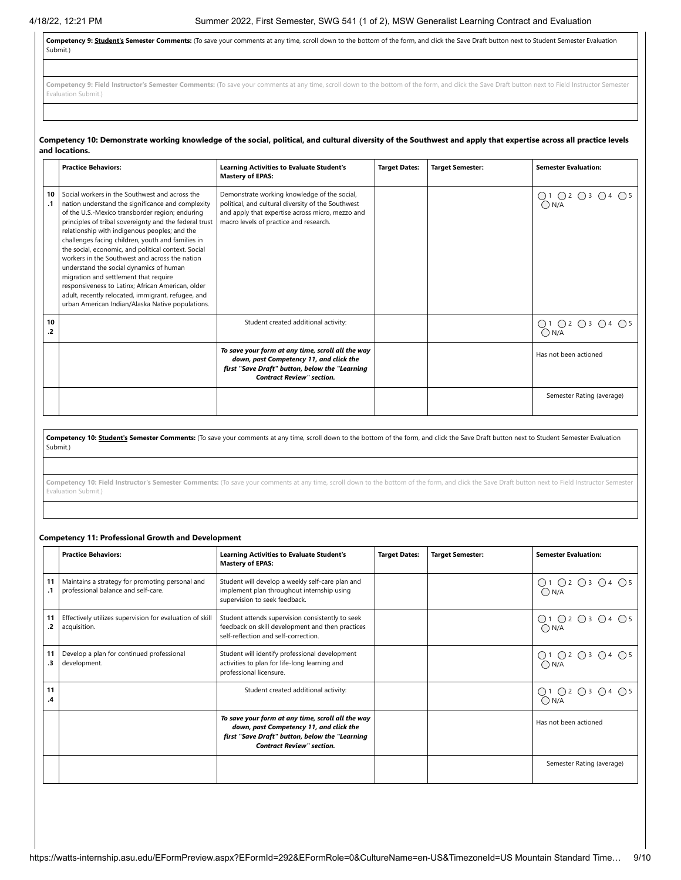**Competency 9: Student's Semester Comments:** (To save your comments at any time, scroll down to the bottom of the form, and click the Save Draft button next to Student Semester Evaluation Submit.)

Competency 9: Field Instructor's Semester Comments: (To save your comments at any time, scroll down to the bottom of the form, and click the Save Draft button next to Field Instructor Semester Evaluation Submit.)

#### Competency 10: Demonstrate working knowledge of the social, political, and cultural diversity of the Southwest and apply that expertise across all practice levels **and locations.**

|                 | <b>Practice Behaviors:</b>                                                                                                                                                                                                                                                                                                                                                                                                                                                                                                                                                                                                                                                         | <b>Learning Activities to Evaluate Student's</b><br><b>Mastery of EPAS:</b>                                                                                                                      | <b>Target Dates:</b> | <b>Target Semester:</b> | <b>Semester Evaluation:</b>               |
|-----------------|------------------------------------------------------------------------------------------------------------------------------------------------------------------------------------------------------------------------------------------------------------------------------------------------------------------------------------------------------------------------------------------------------------------------------------------------------------------------------------------------------------------------------------------------------------------------------------------------------------------------------------------------------------------------------------|--------------------------------------------------------------------------------------------------------------------------------------------------------------------------------------------------|----------------------|-------------------------|-------------------------------------------|
| 10<br>$\cdot$ 1 | Social workers in the Southwest and across the<br>nation understand the significance and complexity<br>of the U.S.-Mexico transborder region; enduring<br>principles of tribal sovereignty and the federal trust<br>relationship with indigenous peoples; and the<br>challenges facing children, youth and families in<br>the social, economic, and political context. Social<br>workers in the Southwest and across the nation<br>understand the social dynamics of human<br>migration and settlement that require<br>responsiveness to Latinx; African American, older<br>adult, recently relocated, immigrant, refugee, and<br>urban American Indian/Alaska Native populations. | Demonstrate working knowledge of the social,<br>political, and cultural diversity of the Southwest<br>and apply that expertise across micro, mezzo and<br>macro levels of practice and research. |                      |                         | $O1$ $O2$ $O3$ $O4$ $O5$<br>$\bigcap N/A$ |
| 10<br>.2        |                                                                                                                                                                                                                                                                                                                                                                                                                                                                                                                                                                                                                                                                                    | Student created additional activity:                                                                                                                                                             |                      |                         | ○1 ○2 ○3 ○4 ○5<br>$\bigcap N/A$           |
|                 |                                                                                                                                                                                                                                                                                                                                                                                                                                                                                                                                                                                                                                                                                    | To save your form at any time, scroll all the way<br>down, past Competency 11, and click the<br>first "Save Draft" button, below the "Learning<br><b>Contract Review" section.</b>               |                      |                         | Has not been actioned                     |
|                 |                                                                                                                                                                                                                                                                                                                                                                                                                                                                                                                                                                                                                                                                                    |                                                                                                                                                                                                  |                      |                         | Semester Rating (average)                 |

Competency 10: Student's Semester Comments: (To save your comments at any time, scroll down to the bottom of the form, and click the Save Draft button next to Student Semester Evaluation Submit.)

**Competency 10: Field Instructor's Semester Comments:** (To save your comments at any time, scroll down to the bottom of the form, and click the Save Draft button next to Field Instructor Semester Evaluation Submit.)

# **Competency 11: Professional Growth and Development**

|          | <b>Practice Behaviors:</b>                                                             | <b>Learning Activities to Evaluate Student's</b><br><b>Mastery of EPAS:</b>                                                                                                        | <b>Target Dates:</b> | <b>Target Semester:</b> | <b>Semester Evaluation:</b>     |
|----------|----------------------------------------------------------------------------------------|------------------------------------------------------------------------------------------------------------------------------------------------------------------------------------|----------------------|-------------------------|---------------------------------|
| 11       | Maintains a strategy for promoting personal and<br>professional balance and self-care. | Student will develop a weekly self-care plan and<br>implement plan throughout internship using<br>supervision to seek feedback.                                                    |                      |                         | ○1 ○2 ○3 ○4 ○5<br>$\bigcap N/A$ |
| 11<br>.2 | Effectively utilizes supervision for evaluation of skill<br>acquisition.               | Student attends supervision consistently to seek<br>feedback on skill development and then practices<br>self-reflection and self-correction.                                       |                      |                         | ○1 ○2 ○3 ○4 ○5<br>$\bigcap N/A$ |
| 11<br>.3 | Develop a plan for continued professional<br>development.                              | Student will identify professional development<br>activities to plan for life-long learning and<br>professional licensure.                                                         |                      |                         | ○1 ○2 ○3 ○4 ○5<br>$\bigcap N/A$ |
| 11<br>.4 |                                                                                        | Student created additional activity:                                                                                                                                               |                      |                         | ○1 ○2 ○3 ○4 ○5<br>$\bigcap N/A$ |
|          |                                                                                        | To save your form at any time, scroll all the way<br>down, past Competency 11, and click the<br>first "Save Draft" button, below the "Learning<br><b>Contract Review" section.</b> |                      |                         | Has not been actioned           |
|          |                                                                                        |                                                                                                                                                                                    |                      |                         | Semester Rating (average)       |